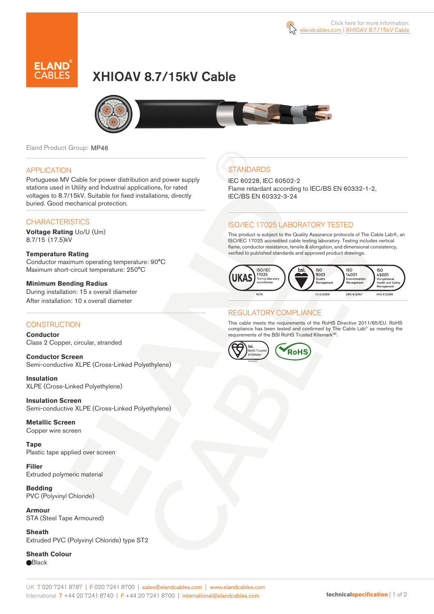

# XHIOAV 8.7/15kV Cable



Eland Product Group: MP46

#### APPLICATION

Portuguese MV Cable for power distribution and power supply stations used in Utility and Industrial applications, for rated voltages to 8.7/15kV. Suitable for fixed installations, directly buried. Good mechanical protection.

### **CHARACTERISTICS**

**Voltage Rating** Uo/U (Um) 8.7/15 (17.5)kV

**Temperature Rating**  Conductor maximum operating temperature: 90°C Maximum short-circuit temperature: 250°C

**Minimum Bending Radius**  During installation: 15 x overall diameter After installation: 10 x overall diameter

#### **CONSTRUCTION**

**Conductor**  Class 2 Copper, circular, stranded

**Conductor Screen** Semi-conductive XLPE (Cross-Linked Polyethylene)

**Insulation** XLPE (Cross-Linked Polyethylene)

**Insulation Screen** Semi-conductive XLPE (Cross-Linked Polyethylene)

**Metallic Screen**  Copper wire screen

**Tape** Plastic tape applied over screen

**Filler** Extruded polymeric material

**Bedding** PVC (Polyvinyl Chloride)

**Armour** STA (Steel Tape Armoured)

**Sheath** Extruded PVC (Polyvinyl Chloride) type ST2

**Sheath Colour Black** 

## **STANDARDS**

IEC 60228, IEC 60502-2 Flame retardant according to IEC/BS EN 60332-1-2, IEC/BS EN 60332-3-24

### ISO/IEC 17025 LABORATORY TESTED

This product is subject to the Quality Assurance protocols of The Cable Lab®, an ISO/IEC 17025 accredited cable testing laboratory. Testing includes vertical flame, conductor resistance, tensile & elongation, and dimensional consistency, verified to published standards and approved product drawings.



### REGULATORY COMPLIANCE

This cable meets the requirements of the RoHS Directive 2011/65/EU. RoHS compliance has been tested and confirmed by The Cable Lab® as meeting the requirements of the BSI RoHS Trusted Kitemark™.